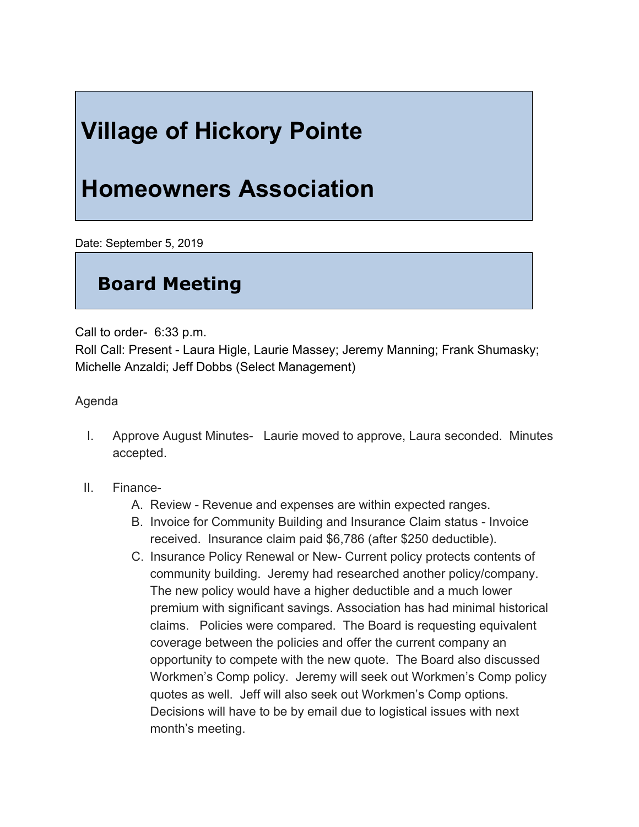## **Village of Hickory Pointe**

## **Homeowners Association**

Date: September 5, 2019

## **Board Meeting**

Call to order- 6:33 p.m.

Roll Call: Present - Laura Higle, Laurie Massey; Jeremy Manning; Frank Shumasky; Michelle Anzaldi; Jeff Dobbs (Select Management)

Agenda

- I. Approve August Minutes- Laurie moved to approve, Laura seconded. Minutes accepted.
- II. Finance-
	- A. Review Revenue and expenses are within expected ranges.
	- B. Invoice for Community Building and Insurance Claim status Invoice received. Insurance claim paid \$6,786 (after \$250 deductible).
	- C. Insurance Policy Renewal or New- Current policy protects contents of community building. Jeremy had researched another policy/company. The new policy would have a higher deductible and a much lower premium with significant savings. Association has had minimal historical claims. Policies were compared. The Board is requesting equivalent coverage between the policies and offer the current company an opportunity to compete with the new quote. The Board also discussed Workmen's Comp policy. Jeremy will seek out Workmen's Comp policy quotes as well. Jeff will also seek out Workmen's Comp options. Decisions will have to be by email due to logistical issues with next month's meeting.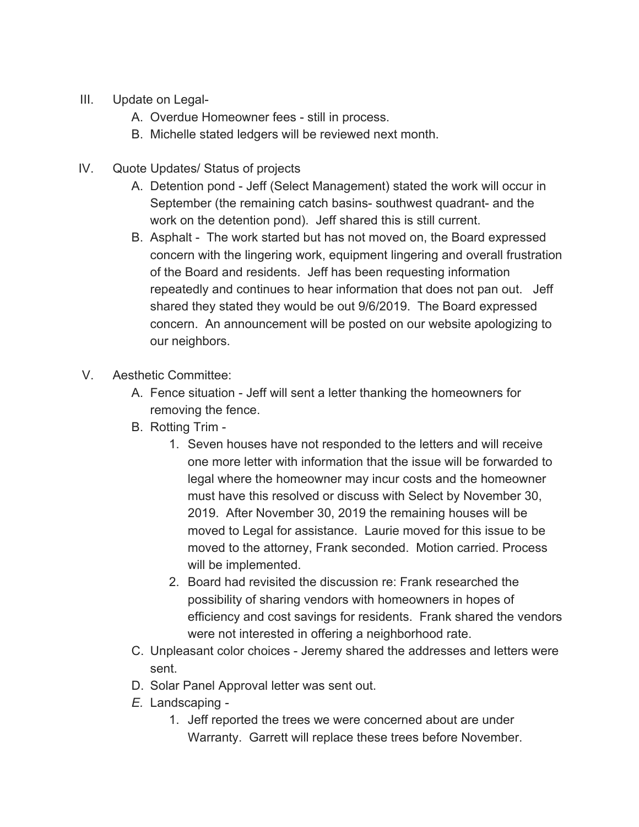- III. Update on Legal-
	- A. Overdue Homeowner fees still in process.
	- B. Michelle stated ledgers will be reviewed next month.
- IV. Quote Updates/ Status of projects
	- A. Detention pond Jeff (Select Management) stated the work will occur in September (the remaining catch basins- southwest quadrant- and the work on the detention pond). Jeff shared this is still current.
	- B. Asphalt The work started but has not moved on, the Board expressed concern with the lingering work, equipment lingering and overall frustration of the Board and residents. Jeff has been requesting information repeatedly and continues to hear information that does not pan out. Jeff shared they stated they would be out 9/6/2019. The Board expressed concern. An announcement will be posted on our website apologizing to our neighbors.
- V. Aesthetic Committee:
	- A. Fence situation Jeff will sent a letter thanking the homeowners for removing the fence.
	- B. Rotting Trim
		- 1. Seven houses have not responded to the letters and will receive one more letter with information that the issue will be forwarded to legal where the homeowner may incur costs and the homeowner must have this resolved or discuss with Select by November 30, 2019. After November 30, 2019 the remaining houses will be moved to Legal for assistance. Laurie moved for this issue to be moved to the attorney, Frank seconded. Motion carried. Process will be implemented.
		- 2. Board had revisited the discussion re: Frank researched the possibility of sharing vendors with homeowners in hopes of efficiency and cost savings for residents. Frank shared the vendors were not interested in offering a neighborhood rate.
	- C. Unpleasant color choices Jeremy shared the addresses and letters were sent.
	- D. Solar Panel Approval letter was sent out.
	- *E.* Landscaping *-*
		- 1. Jeff reported the trees we were concerned about are under Warranty. Garrett will replace these trees before November.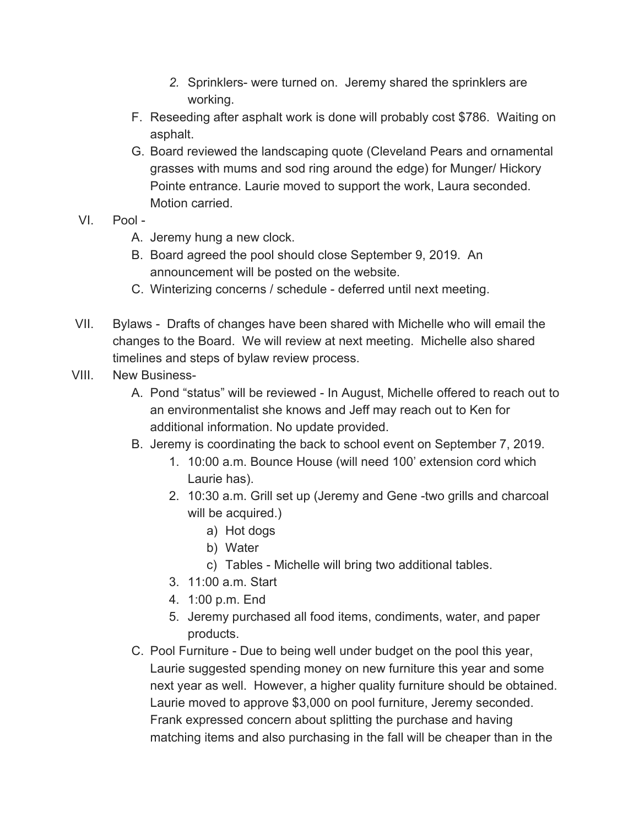- *2.* Sprinklers- were turned on. Jeremy shared the sprinklers are working.
- F. Reseeding after asphalt work is done will probably cost \$786. Waiting on asphalt.
- G. Board reviewed the landscaping quote (Cleveland Pears and ornamental grasses with mums and sod ring around the edge) for Munger/ Hickory Pointe entrance. Laurie moved to support the work, Laura seconded. Motion carried.
- VI. Pool
	- A. Jeremy hung a new clock.
	- B. Board agreed the pool should close September 9, 2019. An announcement will be posted on the website.
	- C. Winterizing concerns / schedule deferred until next meeting.
- VII. Bylaws Drafts of changes have been shared with Michelle who will email the changes to the Board. We will review at next meeting. Michelle also shared timelines and steps of bylaw review process.
- VIII. New Business-
	- A. Pond "status" will be reviewed In August, Michelle offered to reach out to an environmentalist she knows and Jeff may reach out to Ken for additional information. No update provided.
	- B. Jeremy is coordinating the back to school event on September 7, 2019.
		- 1. 10:00 a.m. Bounce House (will need 100' extension cord which Laurie has).
		- 2. 10:30 a.m. Grill set up (Jeremy and Gene -two grills and charcoal will be acquired.)
			- a) Hot dogs
			- b) Water
			- c) Tables Michelle will bring two additional tables.
		- 3. 11:00 a.m. Start
		- 4. 1:00 p.m. End
		- 5. Jeremy purchased all food items, condiments, water, and paper products.
	- C. Pool Furniture Due to being well under budget on the pool this year, Laurie suggested spending money on new furniture this year and some next year as well. However, a higher quality furniture should be obtained. Laurie moved to approve \$3,000 on pool furniture, Jeremy seconded. Frank expressed concern about splitting the purchase and having matching items and also purchasing in the fall will be cheaper than in the